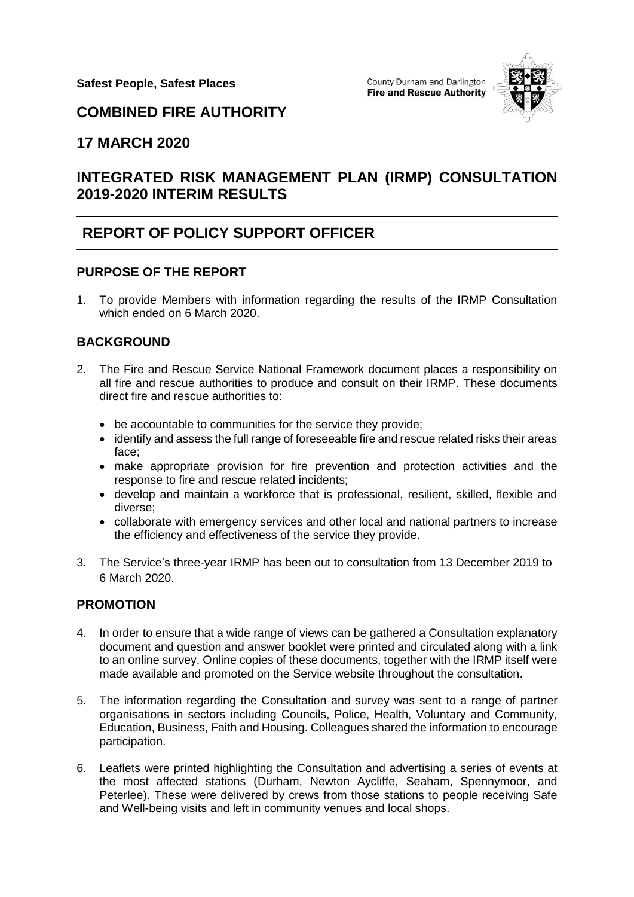

## **COMBINED FIRE AUTHORITY**

## **17 MARCH 2020**

# **INTEGRATED RISK MANAGEMENT PLAN (IRMP) CONSULTATION 2019-2020 INTERIM RESULTS**

# **REPORT OF POLICY SUPPORT OFFICER**

#### **PURPOSE OF THE REPORT**

1. To provide Members with information regarding the results of the IRMP Consultation which ended on 6 March 2020.

### **BACKGROUND**

- 2. The Fire and Rescue Service National Framework document places a responsibility on all fire and rescue authorities to produce and consult on their IRMP. These documents direct fire and rescue authorities to:
	- be accountable to communities for the service they provide;
	- identify and assess the full range of foreseeable fire and rescue related risks their areas face;
	- make appropriate provision for fire prevention and protection activities and the response to fire and rescue related incidents;
	- develop and maintain a workforce that is professional, resilient, skilled, flexible and diverse;
	- collaborate with emergency services and other local and national partners to increase the efficiency and effectiveness of the service they provide.
- 3. The Service's three-year IRMP has been out to consultation from 13 December 2019 to 6 March 2020.

### **PROMOTION**

- 4. In order to ensure that a wide range of views can be gathered a Consultation explanatory document and question and answer booklet were printed and circulated along with a link to an online survey. Online copies of these documents, together with the IRMP itself were made available and promoted on the Service website throughout the consultation.
- 5. The information regarding the Consultation and survey was sent to a range of partner organisations in sectors including Councils, Police, Health, Voluntary and Community, Education, Business, Faith and Housing. Colleagues shared the information to encourage participation.
- 6. Leaflets were printed highlighting the Consultation and advertising a series of events at the most affected stations (Durham, Newton Aycliffe, Seaham, Spennymoor, and Peterlee). These were delivered by crews from those stations to people receiving Safe and Well-being visits and left in community venues and local shops.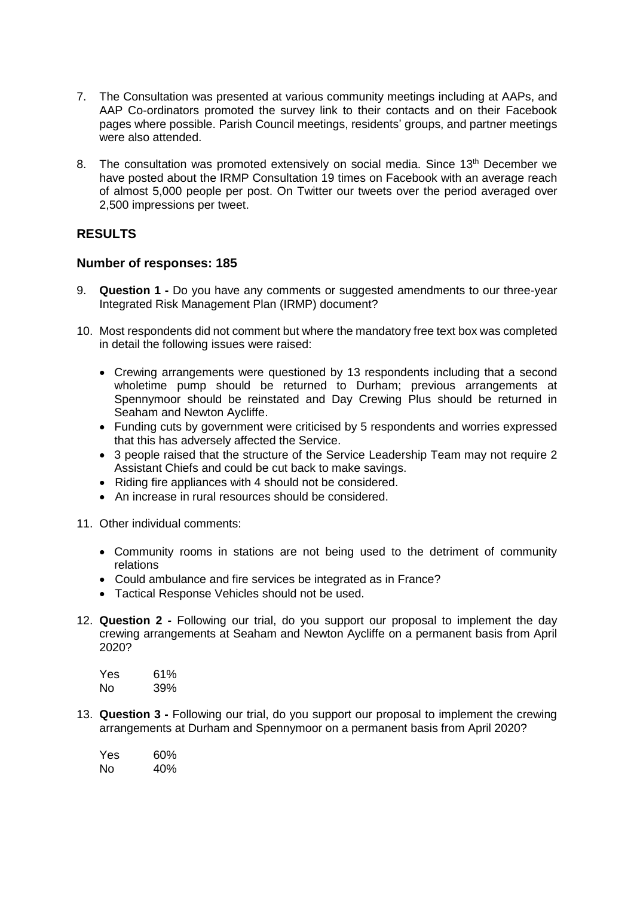- 7. The Consultation was presented at various community meetings including at AAPs, and AAP Co-ordinators promoted the survey link to their contacts and on their Facebook pages where possible. Parish Council meetings, residents' groups, and partner meetings were also attended.
- 8. The consultation was promoted extensively on social media. Since 13<sup>th</sup> December we have posted about the IRMP Consultation 19 times on Facebook with an average reach of almost 5,000 people per post. On Twitter our tweets over the period averaged over 2,500 impressions per tweet.

#### **RESULTS**

#### **Number of responses: 185**

- 9. **Question 1 -** Do you have any comments or suggested amendments to our three-year Integrated Risk Management Plan (IRMP) document?
- 10. Most respondents did not comment but where the mandatory free text box was completed in detail the following issues were raised:
	- Crewing arrangements were questioned by 13 respondents including that a second wholetime pump should be returned to Durham; previous arrangements at Spennymoor should be reinstated and Day Crewing Plus should be returned in Seaham and Newton Aycliffe.
	- Funding cuts by government were criticised by 5 respondents and worries expressed that this has adversely affected the Service.
	- 3 people raised that the structure of the Service Leadership Team may not require 2 Assistant Chiefs and could be cut back to make savings.
	- Riding fire appliances with 4 should not be considered.
	- An increase in rural resources should be considered.
- 11. Other individual comments:
	- Community rooms in stations are not being used to the detriment of community relations
	- Could ambulance and fire services be integrated as in France?
	- Tactical Response Vehicles should not be used.
- 12. **Question 2 -** Following our trial, do you support our proposal to implement the day crewing arrangements at Seaham and Newton Aycliffe on a permanent basis from April 2020?

| Yes | 61% |
|-----|-----|
| Nο  | 39% |

13. **Question 3 -** Following our trial, do you support our proposal to implement the crewing arrangements at Durham and Spennymoor on a permanent basis from April 2020?

| Yes | 60% |
|-----|-----|
| Nο  | 40% |